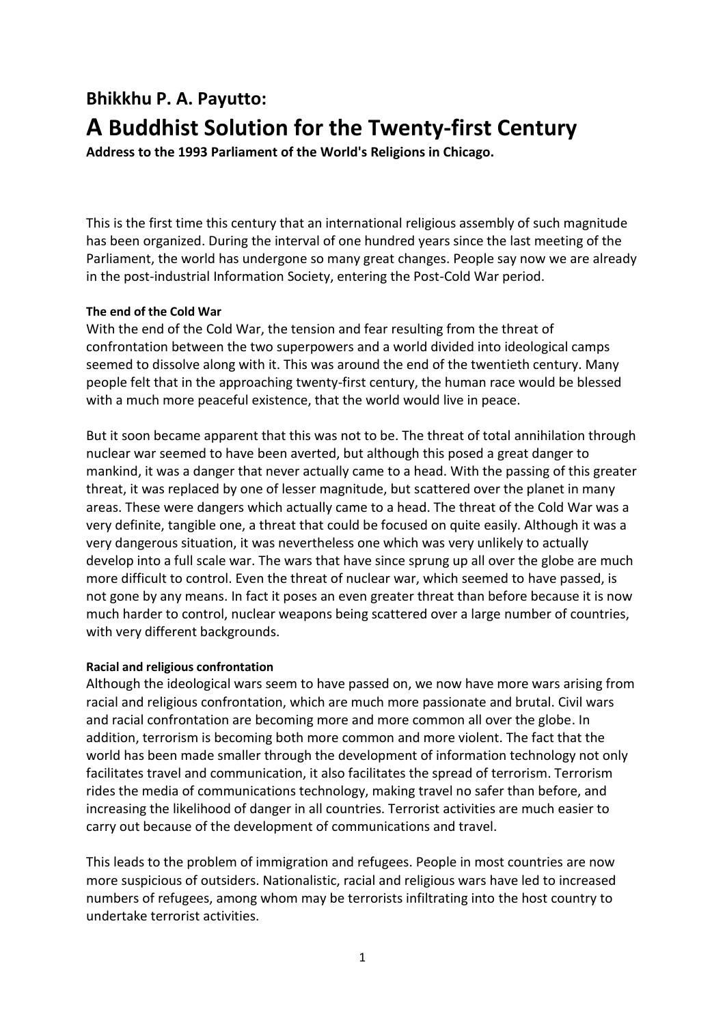# **Bhikkhu P. A. Payutto: A Buddhist Solution for the Twenty-first Century**

**Address to the 1993 Parliament of the World's Religions in Chicago.** 

This is the first time this century that an international religious assembly of such magnitude has been organized. During the interval of one hundred years since the last meeting of the Parliament, the world has undergone so many great changes. People say now we are already in the post-industrial Information Society, entering the Post-Cold War period.

# **The end of the Cold War**

With the end of the Cold War, the tension and fear resulting from the threat of confrontation between the two superpowers and a world divided into ideological camps seemed to dissolve along with it. This was around the end of the twentieth century. Many people felt that in the approaching twenty-first century, the human race would be blessed with a much more peaceful existence, that the world would live in peace.

But it soon became apparent that this was not to be. The threat of total annihilation through nuclear war seemed to have been averted, but although this posed a great danger to mankind, it was a danger that never actually came to a head. With the passing of this greater threat, it was replaced by one of lesser magnitude, but scattered over the planet in many areas. These were dangers which actually came to a head. The threat of the Cold War was a very definite, tangible one, a threat that could be focused on quite easily. Although it was a very dangerous situation, it was nevertheless one which was very unlikely to actually develop into a full scale war. The wars that have since sprung up all over the globe are much more difficult to control. Even the threat of nuclear war, which seemed to have passed, is not gone by any means. In fact it poses an even greater threat than before because it is now much harder to control, nuclear weapons being scattered over a large number of countries, with very different backgrounds.

## **Racial and religious confrontation**

Although the ideological wars seem to have passed on, we now have more wars arising from racial and religious confrontation, which are much more passionate and brutal. Civil wars and racial confrontation are becoming more and more common all over the globe. In addition, terrorism is becoming both more common and more violent. The fact that the world has been made smaller through the development of information technology not only facilitates travel and communication, it also facilitates the spread of terrorism. Terrorism rides the media of communications technology, making travel no safer than before, and increasing the likelihood of danger in all countries. Terrorist activities are much easier to carry out because of the development of communications and travel.

This leads to the problem of immigration and refugees. People in most countries are now more suspicious of outsiders. Nationalistic, racial and religious wars have led to increased numbers of refugees, among whom may be terrorists infiltrating into the host country to undertake terrorist activities.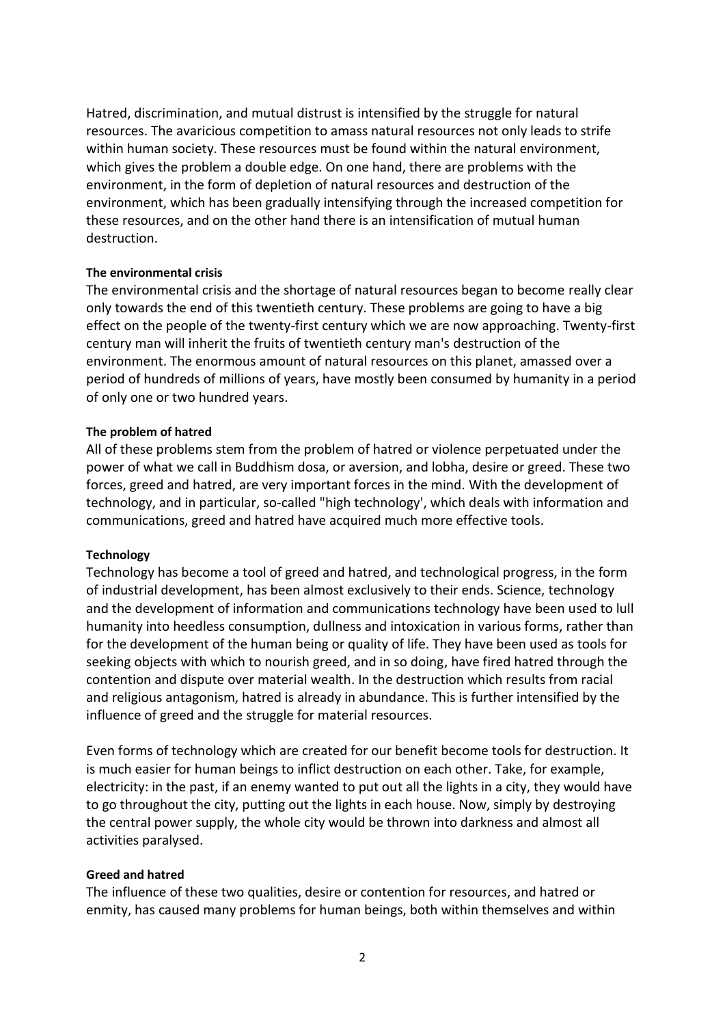Hatred, discrimination, and mutual distrust is intensified by the struggle for natural resources. The avaricious competition to amass natural resources not only leads to strife within human society. These resources must be found within the natural environment, which gives the problem a double edge. On one hand, there are problems with the environment, in the form of depletion of natural resources and destruction of the environment, which has been gradually intensifying through the increased competition for these resources, and on the other hand there is an intensification of mutual human destruction.

## **The environmental crisis**

The environmental crisis and the shortage of natural resources began to become really clear only towards the end of this twentieth century. These problems are going to have a big effect on the people of the twenty-first century which we are now approaching. Twenty-first century man will inherit the fruits of twentieth century man's destruction of the environment. The enormous amount of natural resources on this planet, amassed over a period of hundreds of millions of years, have mostly been consumed by humanity in a period of only one or two hundred years.

#### **The problem of hatred**

All of these problems stem from the problem of hatred or violence perpetuated under the power of what we call in Buddhism dosa, or aversion, and lobha, desire or greed. These two forces, greed and hatred, are very important forces in the mind. With the development of technology, and in particular, so-called "high technology', which deals with information and communications, greed and hatred have acquired much more effective tools.

#### **Technology**

Technology has become a tool of greed and hatred, and technological progress, in the form of industrial development, has been almost exclusively to their ends. Science, technology and the development of information and communications technology have been used to lull humanity into heedless consumption, dullness and intoxication in various forms, rather than for the development of the human being or quality of life. They have been used as tools for seeking objects with which to nourish greed, and in so doing, have fired hatred through the contention and dispute over material wealth. In the destruction which results from racial and religious antagonism, hatred is already in abundance. This is further intensified by the influence of greed and the struggle for material resources.

Even forms of technology which are created for our benefit become tools for destruction. It is much easier for human beings to inflict destruction on each other. Take, for example, electricity: in the past, if an enemy wanted to put out all the lights in a city, they would have to go throughout the city, putting out the lights in each house. Now, simply by destroying the central power supply, the whole city would be thrown into darkness and almost all activities paralysed.

## **Greed and hatred**

The influence of these two qualities, desire or contention for resources, and hatred or enmity, has caused many problems for human beings, both within themselves and within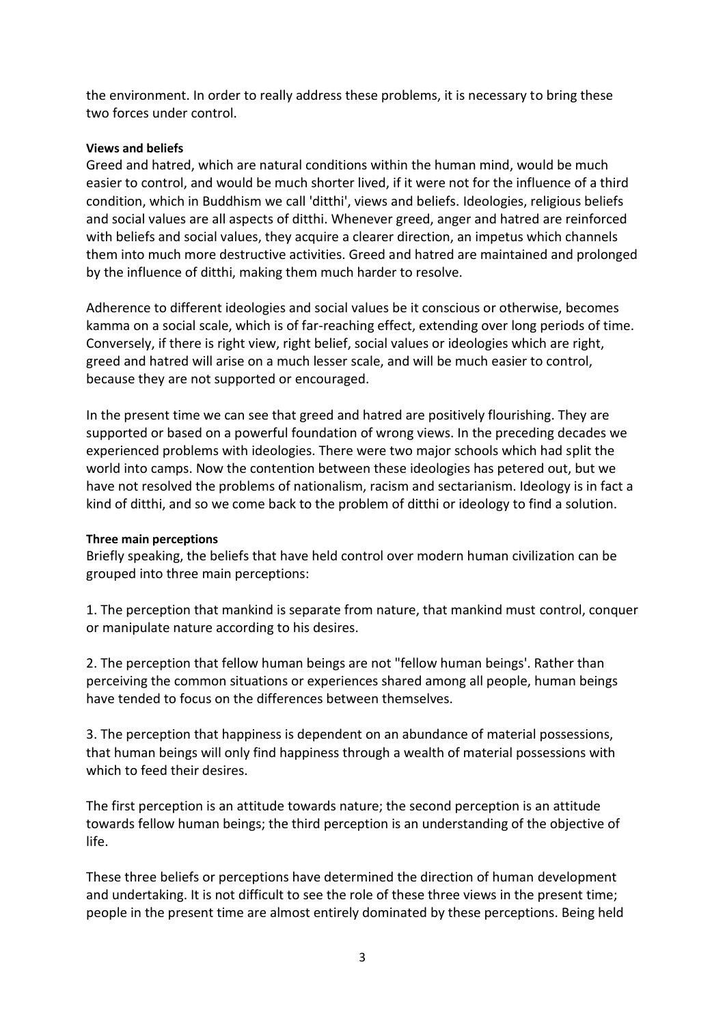the environment. In order to really address these problems, it is necessary to bring these two forces under control.

## **Views and beliefs**

Greed and hatred, which are natural conditions within the human mind, would be much easier to control, and would be much shorter lived, if it were not for the influence of a third condition, which in Buddhism we call 'ditthi', views and beliefs. Ideologies, religious beliefs and social values are all aspects of ditthi. Whenever greed, anger and hatred are reinforced with beliefs and social values, they acquire a clearer direction, an impetus which channels them into much more destructive activities. Greed and hatred are maintained and prolonged by the influence of ditthi, making them much harder to resolve.

Adherence to different ideologies and social values be it conscious or otherwise, becomes kamma on a social scale, which is of far-reaching effect, extending over long periods of time. Conversely, if there is right view, right belief, social values or ideologies which are right, greed and hatred will arise on a much lesser scale, and will be much easier to control, because they are not supported or encouraged.

In the present time we can see that greed and hatred are positively flourishing. They are supported or based on a powerful foundation of wrong views. In the preceding decades we experienced problems with ideologies. There were two major schools which had split the world into camps. Now the contention between these ideologies has petered out, but we have not resolved the problems of nationalism, racism and sectarianism. Ideology is in fact a kind of ditthi, and so we come back to the problem of ditthi or ideology to find a solution.

## **Three main perceptions**

Briefly speaking, the beliefs that have held control over modern human civilization can be grouped into three main perceptions:

1. The perception that mankind is separate from nature, that mankind must control, conquer or manipulate nature according to his desires.

2. The perception that fellow human beings are not "fellow human beings'. Rather than perceiving the common situations or experiences shared among all people, human beings have tended to focus on the differences between themselves.

3. The perception that happiness is dependent on an abundance of material possessions, that human beings will only find happiness through a wealth of material possessions with which to feed their desires.

The first perception is an attitude towards nature; the second perception is an attitude towards fellow human beings; the third perception is an understanding of the objective of life.

These three beliefs or perceptions have determined the direction of human development and undertaking. It is not difficult to see the role of these three views in the present time; people in the present time are almost entirely dominated by these perceptions. Being held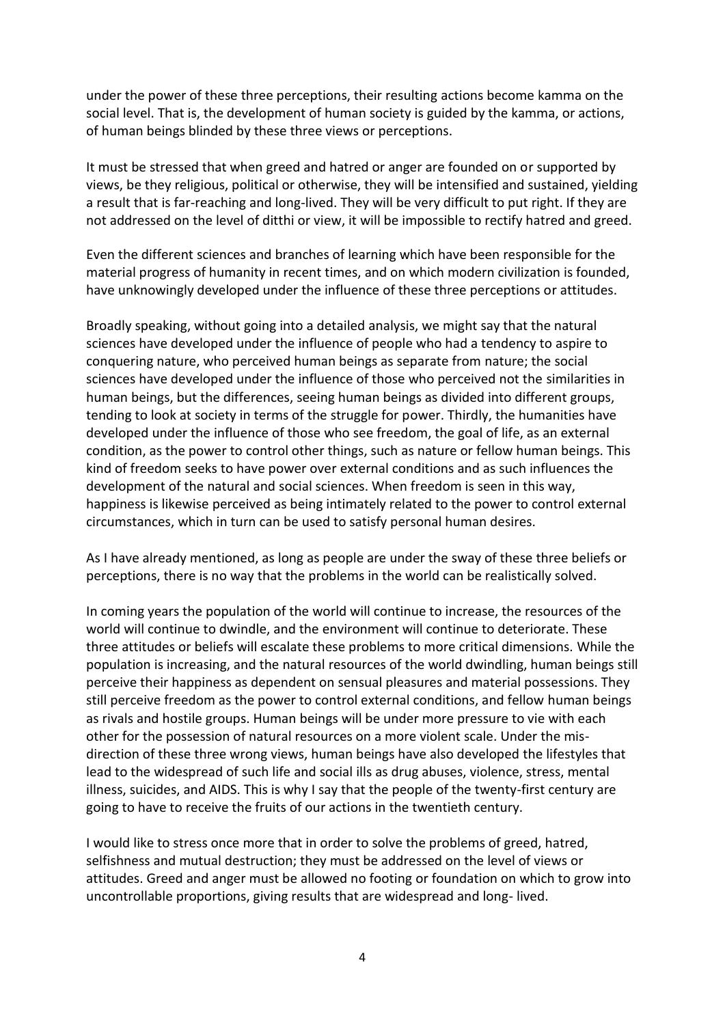under the power of these three perceptions, their resulting actions become kamma on the social level. That is, the development of human society is guided by the kamma, or actions, of human beings blinded by these three views or perceptions.

It must be stressed that when greed and hatred or anger are founded on or supported by views, be they religious, political or otherwise, they will be intensified and sustained, yielding a result that is far-reaching and long-lived. They will be very difficult to put right. If they are not addressed on the level of ditthi or view, it will be impossible to rectify hatred and greed.

Even the different sciences and branches of learning which have been responsible for the material progress of humanity in recent times, and on which modern civilization is founded, have unknowingly developed under the influence of these three perceptions or attitudes.

Broadly speaking, without going into a detailed analysis, we might say that the natural sciences have developed under the influence of people who had a tendency to aspire to conquering nature, who perceived human beings as separate from nature; the social sciences have developed under the influence of those who perceived not the similarities in human beings, but the differences, seeing human beings as divided into different groups, tending to look at society in terms of the struggle for power. Thirdly, the humanities have developed under the influence of those who see freedom, the goal of life, as an external condition, as the power to control other things, such as nature or fellow human beings. This kind of freedom seeks to have power over external conditions and as such influences the development of the natural and social sciences. When freedom is seen in this way, happiness is likewise perceived as being intimately related to the power to control external circumstances, which in turn can be used to satisfy personal human desires.

As I have already mentioned, as long as people are under the sway of these three beliefs or perceptions, there is no way that the problems in the world can be realistically solved.

In coming years the population of the world will continue to increase, the resources of the world will continue to dwindle, and the environment will continue to deteriorate. These three attitudes or beliefs will escalate these problems to more critical dimensions. While the population is increasing, and the natural resources of the world dwindling, human beings still perceive their happiness as dependent on sensual pleasures and material possessions. They still perceive freedom as the power to control external conditions, and fellow human beings as rivals and hostile groups. Human beings will be under more pressure to vie with each other for the possession of natural resources on a more violent scale. Under the misdirection of these three wrong views, human beings have also developed the lifestyles that lead to the widespread of such life and social ills as drug abuses, violence, stress, mental illness, suicides, and AIDS. This is why I say that the people of the twenty-first century are going to have to receive the fruits of our actions in the twentieth century.

I would like to stress once more that in order to solve the problems of greed, hatred, selfishness and mutual destruction; they must be addressed on the level of views or attitudes. Greed and anger must be allowed no footing or foundation on which to grow into uncontrollable proportions, giving results that are widespread and long- lived.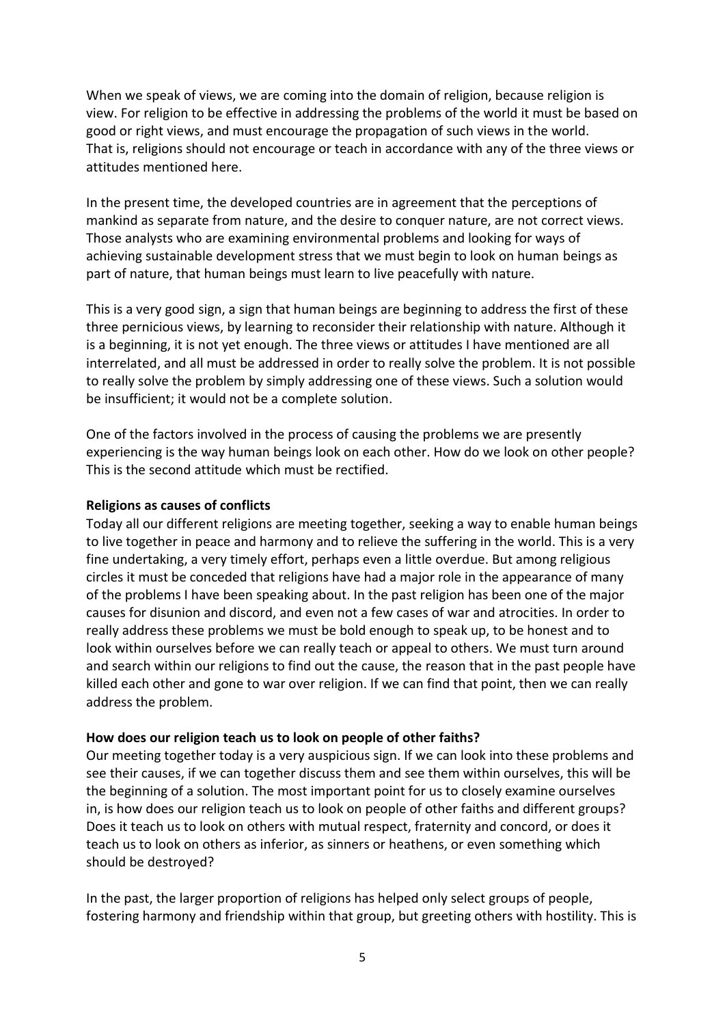When we speak of views, we are coming into the domain of religion, because religion is view. For religion to be effective in addressing the problems of the world it must be based on good or right views, and must encourage the propagation of such views in the world. That is, religions should not encourage or teach in accordance with any of the three views or attitudes mentioned here.

In the present time, the developed countries are in agreement that the perceptions of mankind as separate from nature, and the desire to conquer nature, are not correct views. Those analysts who are examining environmental problems and looking for ways of achieving sustainable development stress that we must begin to look on human beings as part of nature, that human beings must learn to live peacefully with nature.

This is a very good sign, a sign that human beings are beginning to address the first of these three pernicious views, by learning to reconsider their relationship with nature. Although it is a beginning, it is not yet enough. The three views or attitudes I have mentioned are all interrelated, and all must be addressed in order to really solve the problem. It is not possible to really solve the problem by simply addressing one of these views. Such a solution would be insufficient; it would not be a complete solution.

One of the factors involved in the process of causing the problems we are presently experiencing is the way human beings look on each other. How do we look on other people? This is the second attitude which must be rectified.

## **Religions as causes of conflicts**

Today all our different religions are meeting together, seeking a way to enable human beings to live together in peace and harmony and to relieve the suffering in the world. This is a very fine undertaking, a very timely effort, perhaps even a little overdue. But among religious circles it must be conceded that religions have had a major role in the appearance of many of the problems I have been speaking about. In the past religion has been one of the major causes for disunion and discord, and even not a few cases of war and atrocities. In order to really address these problems we must be bold enough to speak up, to be honest and to look within ourselves before we can really teach or appeal to others. We must turn around and search within our religions to find out the cause, the reason that in the past people have killed each other and gone to war over religion. If we can find that point, then we can really address the problem.

# **How does our religion teach us to look on people of other faiths?**

Our meeting together today is a very auspicious sign. If we can look into these problems and see their causes, if we can together discuss them and see them within ourselves, this will be the beginning of a solution. The most important point for us to closely examine ourselves in, is how does our religion teach us to look on people of other faiths and different groups? Does it teach us to look on others with mutual respect, fraternity and concord, or does it teach us to look on others as inferior, as sinners or heathens, or even something which should be destroyed?

In the past, the larger proportion of religions has helped only select groups of people, fostering harmony and friendship within that group, but greeting others with hostility. This is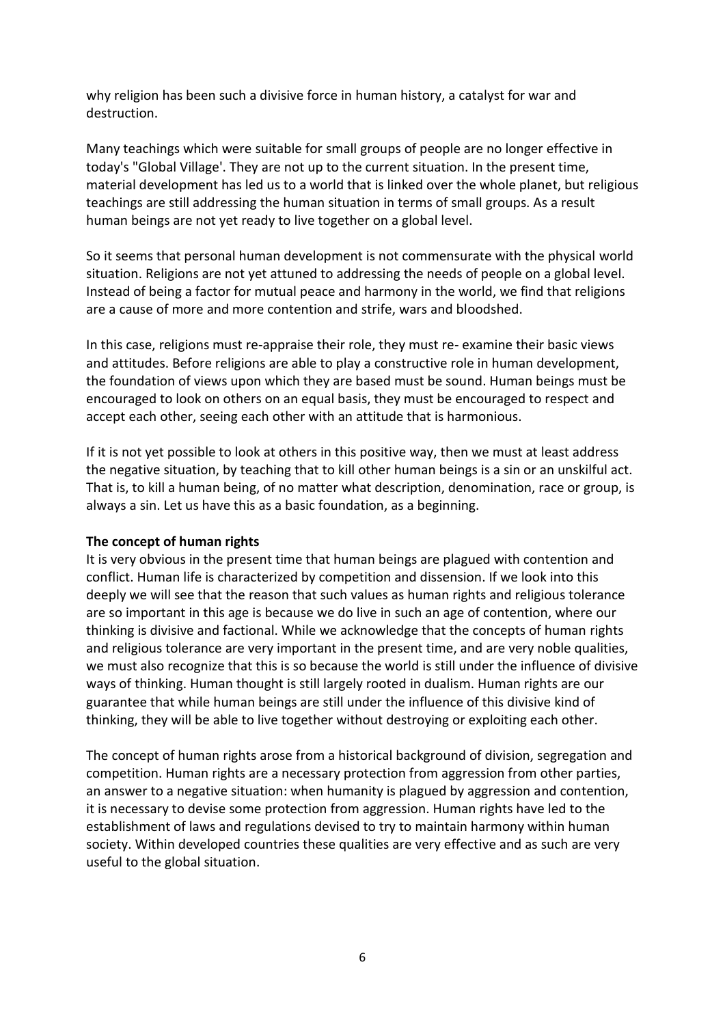why religion has been such a divisive force in human history, a catalyst for war and destruction.

Many teachings which were suitable for small groups of people are no longer effective in today's "Global Village'. They are not up to the current situation. In the present time, material development has led us to a world that is linked over the whole planet, but religious teachings are still addressing the human situation in terms of small groups. As a result human beings are not yet ready to live together on a global level.

So it seems that personal human development is not commensurate with the physical world situation. Religions are not yet attuned to addressing the needs of people on a global level. Instead of being a factor for mutual peace and harmony in the world, we find that religions are a cause of more and more contention and strife, wars and bloodshed.

In this case, religions must re-appraise their role, they must re- examine their basic views and attitudes. Before religions are able to play a constructive role in human development, the foundation of views upon which they are based must be sound. Human beings must be encouraged to look on others on an equal basis, they must be encouraged to respect and accept each other, seeing each other with an attitude that is harmonious.

If it is not yet possible to look at others in this positive way, then we must at least address the negative situation, by teaching that to kill other human beings is a sin or an unskilful act. That is, to kill a human being, of no matter what description, denomination, race or group, is always a sin. Let us have this as a basic foundation, as a beginning.

## **The concept of human rights**

It is very obvious in the present time that human beings are plagued with contention and conflict. Human life is characterized by competition and dissension. If we look into this deeply we will see that the reason that such values as human rights and religious tolerance are so important in this age is because we do live in such an age of contention, where our thinking is divisive and factional. While we acknowledge that the concepts of human rights and religious tolerance are very important in the present time, and are very noble qualities, we must also recognize that this is so because the world is still under the influence of divisive ways of thinking. Human thought is still largely rooted in dualism. Human rights are our guarantee that while human beings are still under the influence of this divisive kind of thinking, they will be able to live together without destroying or exploiting each other.

The concept of human rights arose from a historical background of division, segregation and competition. Human rights are a necessary protection from aggression from other parties, an answer to a negative situation: when humanity is plagued by aggression and contention, it is necessary to devise some protection from aggression. Human rights have led to the establishment of laws and regulations devised to try to maintain harmony within human society. Within developed countries these qualities are very effective and as such are very useful to the global situation.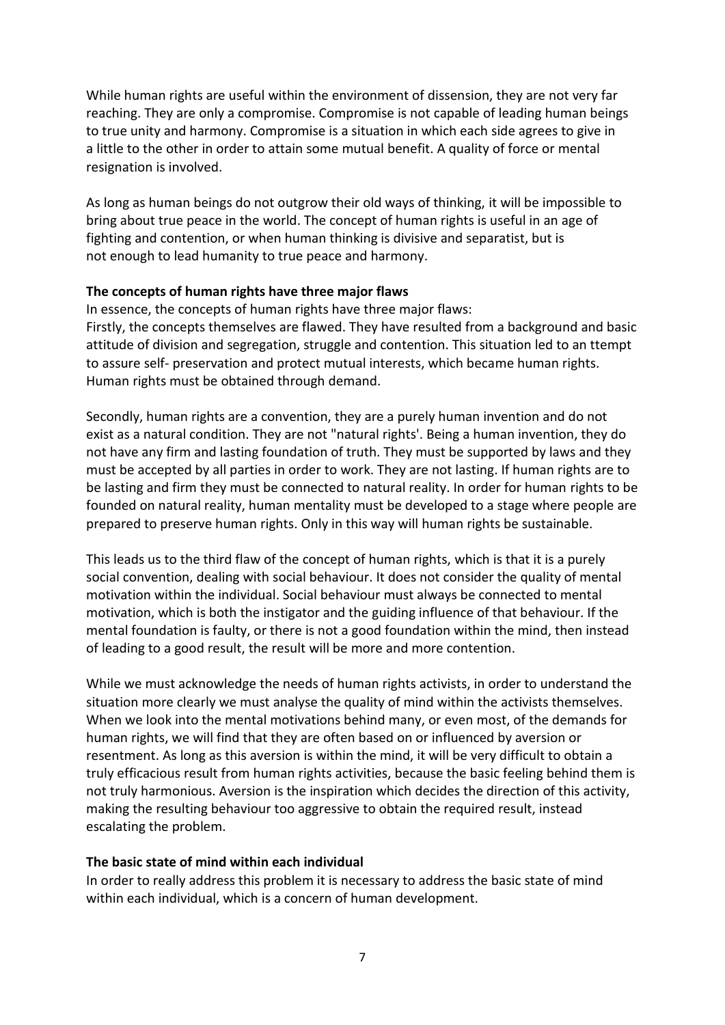While human rights are useful within the environment of dissension, they are not very far reaching. They are only a compromise. Compromise is not capable of leading human beings to true unity and harmony. Compromise is a situation in which each side agrees to give in a little to the other in order to attain some mutual benefit. A quality of force or mental resignation is involved.

As long as human beings do not outgrow their old ways of thinking, it will be impossible to bring about true peace in the world. The concept of human rights is useful in an age of fighting and contention, or when human thinking is divisive and separatist, but is not enough to lead humanity to true peace and harmony.

## **The concepts of human rights have three major flaws**

In essence, the concepts of human rights have three major flaws: Firstly, the concepts themselves are flawed. They have resulted from a background and basic attitude of division and segregation, struggle and contention. This situation led to an ttempt to assure self- preservation and protect mutual interests, which became human rights. Human rights must be obtained through demand.

Secondly, human rights are a convention, they are a purely human invention and do not exist as a natural condition. They are not "natural rights'. Being a human invention, they do not have any firm and lasting foundation of truth. They must be supported by laws and they must be accepted by all parties in order to work. They are not lasting. If human rights are to be lasting and firm they must be connected to natural reality. In order for human rights to be founded on natural reality, human mentality must be developed to a stage where people are prepared to preserve human rights. Only in this way will human rights be sustainable.

This leads us to the third flaw of the concept of human rights, which is that it is a purely social convention, dealing with social behaviour. It does not consider the quality of mental motivation within the individual. Social behaviour must always be connected to mental motivation, which is both the instigator and the guiding influence of that behaviour. If the mental foundation is faulty, or there is not a good foundation within the mind, then instead of leading to a good result, the result will be more and more contention.

While we must acknowledge the needs of human rights activists, in order to understand the situation more clearly we must analyse the quality of mind within the activists themselves. When we look into the mental motivations behind many, or even most, of the demands for human rights, we will find that they are often based on or influenced by aversion or resentment. As long as this aversion is within the mind, it will be very difficult to obtain a truly efficacious result from human rights activities, because the basic feeling behind them is not truly harmonious. Aversion is the inspiration which decides the direction of this activity, making the resulting behaviour too aggressive to obtain the required result, instead escalating the problem.

# **The basic state of mind within each individual**

In order to really address this problem it is necessary to address the basic state of mind within each individual, which is a concern of human development.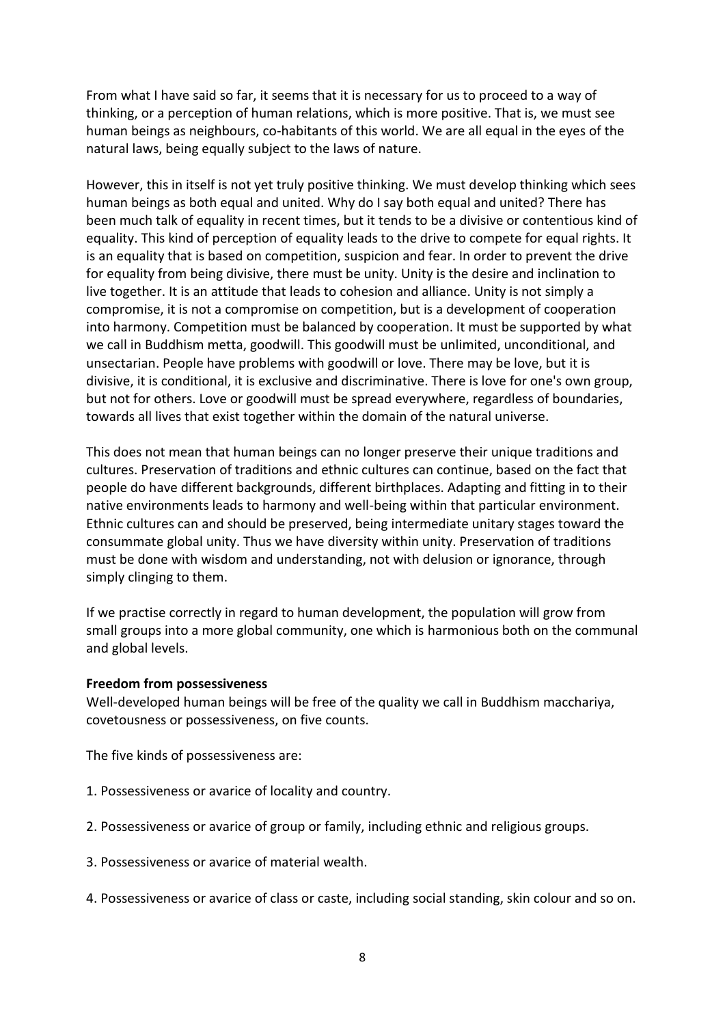From what I have said so far, it seems that it is necessary for us to proceed to a way of thinking, or a perception of human relations, which is more positive. That is, we must see human beings as neighbours, co-habitants of this world. We are all equal in the eyes of the natural laws, being equally subject to the laws of nature.

However, this in itself is not yet truly positive thinking. We must develop thinking which sees human beings as both equal and united. Why do I say both equal and united? There has been much talk of equality in recent times, but it tends to be a divisive or contentious kind of equality. This kind of perception of equality leads to the drive to compete for equal rights. It is an equality that is based on competition, suspicion and fear. In order to prevent the drive for equality from being divisive, there must be unity. Unity is the desire and inclination to live together. It is an attitude that leads to cohesion and alliance. Unity is not simply a compromise, it is not a compromise on competition, but is a development of cooperation into harmony. Competition must be balanced by cooperation. It must be supported by what we call in Buddhism metta, goodwill. This goodwill must be unlimited, unconditional, and unsectarian. People have problems with goodwill or love. There may be love, but it is divisive, it is conditional, it is exclusive and discriminative. There is love for one's own group, but not for others. Love or goodwill must be spread everywhere, regardless of boundaries, towards all lives that exist together within the domain of the natural universe.

This does not mean that human beings can no longer preserve their unique traditions and cultures. Preservation of traditions and ethnic cultures can continue, based on the fact that people do have different backgrounds, different birthplaces. Adapting and fitting in to their native environments leads to harmony and well-being within that particular environment. Ethnic cultures can and should be preserved, being intermediate unitary stages toward the consummate global unity. Thus we have diversity within unity. Preservation of traditions must be done with wisdom and understanding, not with delusion or ignorance, through simply clinging to them.

If we practise correctly in regard to human development, the population will grow from small groups into a more global community, one which is harmonious both on the communal and global levels.

## **Freedom from possessiveness**

Well-developed human beings will be free of the quality we call in Buddhism macchariya, covetousness or possessiveness, on five counts.

The five kinds of possessiveness are:

- 1. Possessiveness or avarice of locality and country.
- 2. Possessiveness or avarice of group or family, including ethnic and religious groups.
- 3. Possessiveness or avarice of material wealth.
- 4. Possessiveness or avarice of class or caste, including social standing, skin colour and so on.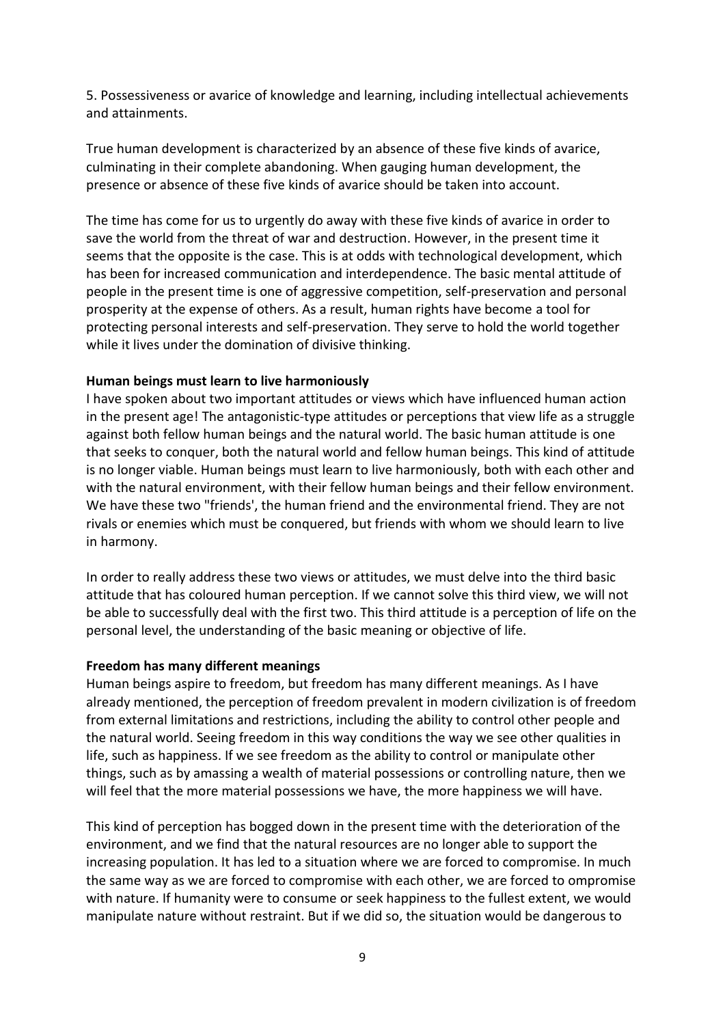5. Possessiveness or avarice of knowledge and learning, including intellectual achievements and attainments.

True human development is characterized by an absence of these five kinds of avarice, culminating in their complete abandoning. When gauging human development, the presence or absence of these five kinds of avarice should be taken into account.

The time has come for us to urgently do away with these five kinds of avarice in order to save the world from the threat of war and destruction. However, in the present time it seems that the opposite is the case. This is at odds with technological development, which has been for increased communication and interdependence. The basic mental attitude of people in the present time is one of aggressive competition, self-preservation and personal prosperity at the expense of others. As a result, human rights have become a tool for protecting personal interests and self-preservation. They serve to hold the world together while it lives under the domination of divisive thinking.

# **Human beings must learn to live harmoniously**

I have spoken about two important attitudes or views which have influenced human action in the present age! The antagonistic-type attitudes or perceptions that view life as a struggle against both fellow human beings and the natural world. The basic human attitude is one that seeks to conquer, both the natural world and fellow human beings. This kind of attitude is no longer viable. Human beings must learn to live harmoniously, both with each other and with the natural environment, with their fellow human beings and their fellow environment. We have these two "friends', the human friend and the environmental friend. They are not rivals or enemies which must be conquered, but friends with whom we should learn to live in harmony.

In order to really address these two views or attitudes, we must delve into the third basic attitude that has coloured human perception. If we cannot solve this third view, we will not be able to successfully deal with the first two. This third attitude is a perception of life on the personal level, the understanding of the basic meaning or objective of life.

#### **Freedom has many different meanings**

Human beings aspire to freedom, but freedom has many different meanings. As I have already mentioned, the perception of freedom prevalent in modern civilization is of freedom from external limitations and restrictions, including the ability to control other people and the natural world. Seeing freedom in this way conditions the way we see other qualities in life, such as happiness. If we see freedom as the ability to control or manipulate other things, such as by amassing a wealth of material possessions or controlling nature, then we will feel that the more material possessions we have, the more happiness we will have.

This kind of perception has bogged down in the present time with the deterioration of the environment, and we find that the natural resources are no longer able to support the increasing population. It has led to a situation where we are forced to compromise. In much the same way as we are forced to compromise with each other, we are forced to ompromise with nature. If humanity were to consume or seek happiness to the fullest extent, we would manipulate nature without restraint. But if we did so, the situation would be dangerous to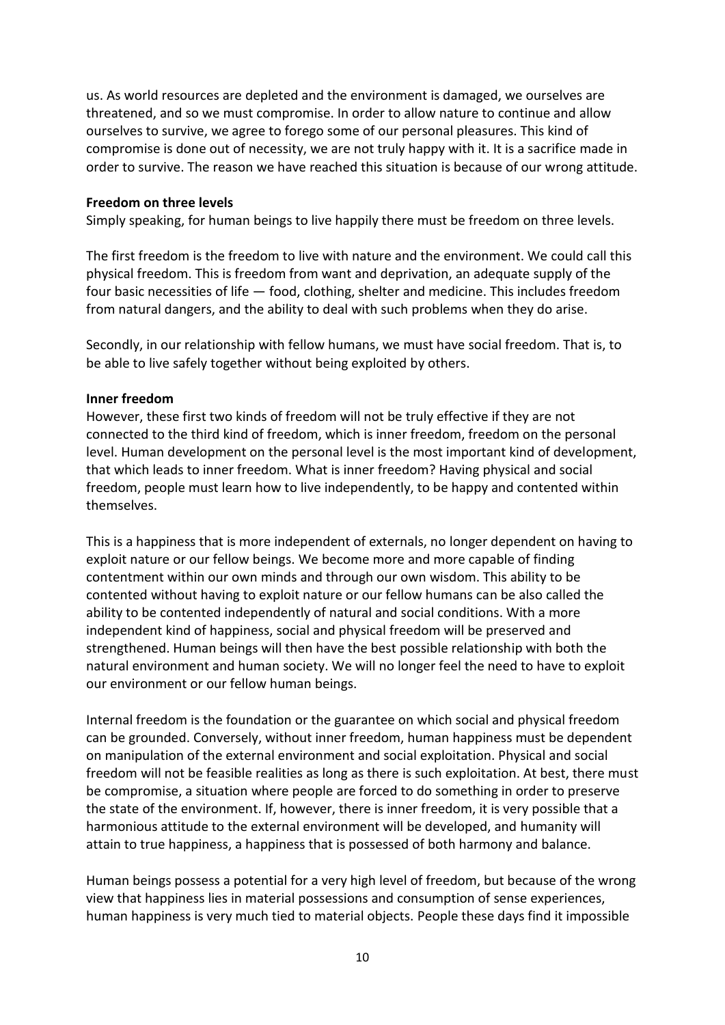us. As world resources are depleted and the environment is damaged, we ourselves are threatened, and so we must compromise. In order to allow nature to continue and allow ourselves to survive, we agree to forego some of our personal pleasures. This kind of compromise is done out of necessity, we are not truly happy with it. It is a sacrifice made in order to survive. The reason we have reached this situation is because of our wrong attitude.

## **Freedom on three levels**

Simply speaking, for human beings to live happily there must be freedom on three levels.

The first freedom is the freedom to live with nature and the environment. We could call this physical freedom. This is freedom from want and deprivation, an adequate supply of the four basic necessities of life — food, clothing, shelter and medicine. This includes freedom from natural dangers, and the ability to deal with such problems when they do arise.

Secondly, in our relationship with fellow humans, we must have social freedom. That is, to be able to live safely together without being exploited by others.

#### **Inner freedom**

However, these first two kinds of freedom will not be truly effective if they are not connected to the third kind of freedom, which is inner freedom, freedom on the personal level. Human development on the personal level is the most important kind of development, that which leads to inner freedom. What is inner freedom? Having physical and social freedom, people must learn how to live independently, to be happy and contented within themselves.

This is a happiness that is more independent of externals, no longer dependent on having to exploit nature or our fellow beings. We become more and more capable of finding contentment within our own minds and through our own wisdom. This ability to be contented without having to exploit nature or our fellow humans can be also called the ability to be contented independently of natural and social conditions. With a more independent kind of happiness, social and physical freedom will be preserved and strengthened. Human beings will then have the best possible relationship with both the natural environment and human society. We will no longer feel the need to have to exploit our environment or our fellow human beings.

Internal freedom is the foundation or the guarantee on which social and physical freedom can be grounded. Conversely, without inner freedom, human happiness must be dependent on manipulation of the external environment and social exploitation. Physical and social freedom will not be feasible realities as long as there is such exploitation. At best, there must be compromise, a situation where people are forced to do something in order to preserve the state of the environment. If, however, there is inner freedom, it is very possible that a harmonious attitude to the external environment will be developed, and humanity will attain to true happiness, a happiness that is possessed of both harmony and balance.

Human beings possess a potential for a very high level of freedom, but because of the wrong view that happiness lies in material possessions and consumption of sense experiences, human happiness is very much tied to material objects. People these days find it impossible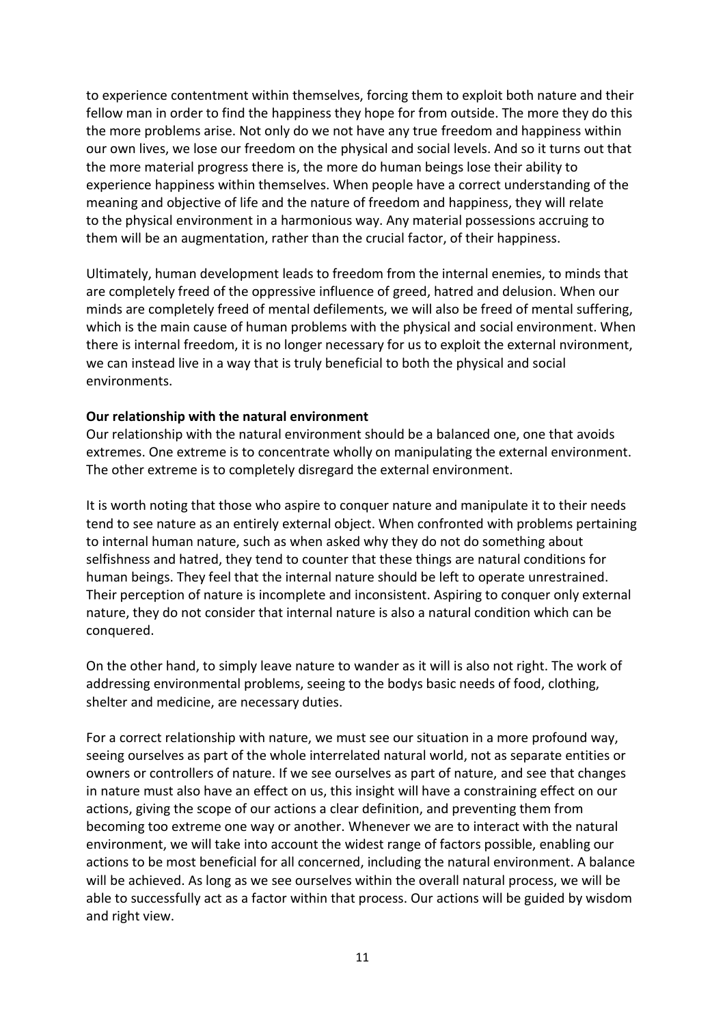to experience contentment within themselves, forcing them to exploit both nature and their fellow man in order to find the happiness they hope for from outside. The more they do this the more problems arise. Not only do we not have any true freedom and happiness within our own lives, we lose our freedom on the physical and social levels. And so it turns out that the more material progress there is, the more do human beings lose their ability to experience happiness within themselves. When people have a correct understanding of the meaning and objective of life and the nature of freedom and happiness, they will relate to the physical environment in a harmonious way. Any material possessions accruing to them will be an augmentation, rather than the crucial factor, of their happiness.

Ultimately, human development leads to freedom from the internal enemies, to minds that are completely freed of the oppressive influence of greed, hatred and delusion. When our minds are completely freed of mental defilements, we will also be freed of mental suffering, which is the main cause of human problems with the physical and social environment. When there is internal freedom, it is no longer necessary for us to exploit the external nvironment, we can instead live in a way that is truly beneficial to both the physical and social environments.

# **Our relationship with the natural environment**

Our relationship with the natural environment should be a balanced one, one that avoids extremes. One extreme is to concentrate wholly on manipulating the external environment. The other extreme is to completely disregard the external environment.

It is worth noting that those who aspire to conquer nature and manipulate it to their needs tend to see nature as an entirely external object. When confronted with problems pertaining to internal human nature, such as when asked why they do not do something about selfishness and hatred, they tend to counter that these things are natural conditions for human beings. They feel that the internal nature should be left to operate unrestrained. Their perception of nature is incomplete and inconsistent. Aspiring to conquer only external nature, they do not consider that internal nature is also a natural condition which can be conquered.

On the other hand, to simply leave nature to wander as it will is also not right. The work of addressing environmental problems, seeing to the bodys basic needs of food, clothing, shelter and medicine, are necessary duties.

For a correct relationship with nature, we must see our situation in a more profound way, seeing ourselves as part of the whole interrelated natural world, not as separate entities or owners or controllers of nature. If we see ourselves as part of nature, and see that changes in nature must also have an effect on us, this insight will have a constraining effect on our actions, giving the scope of our actions a clear definition, and preventing them from becoming too extreme one way or another. Whenever we are to interact with the natural environment, we will take into account the widest range of factors possible, enabling our actions to be most beneficial for all concerned, including the natural environment. A balance will be achieved. As long as we see ourselves within the overall natural process, we will be able to successfully act as a factor within that process. Our actions will be guided by wisdom and right view.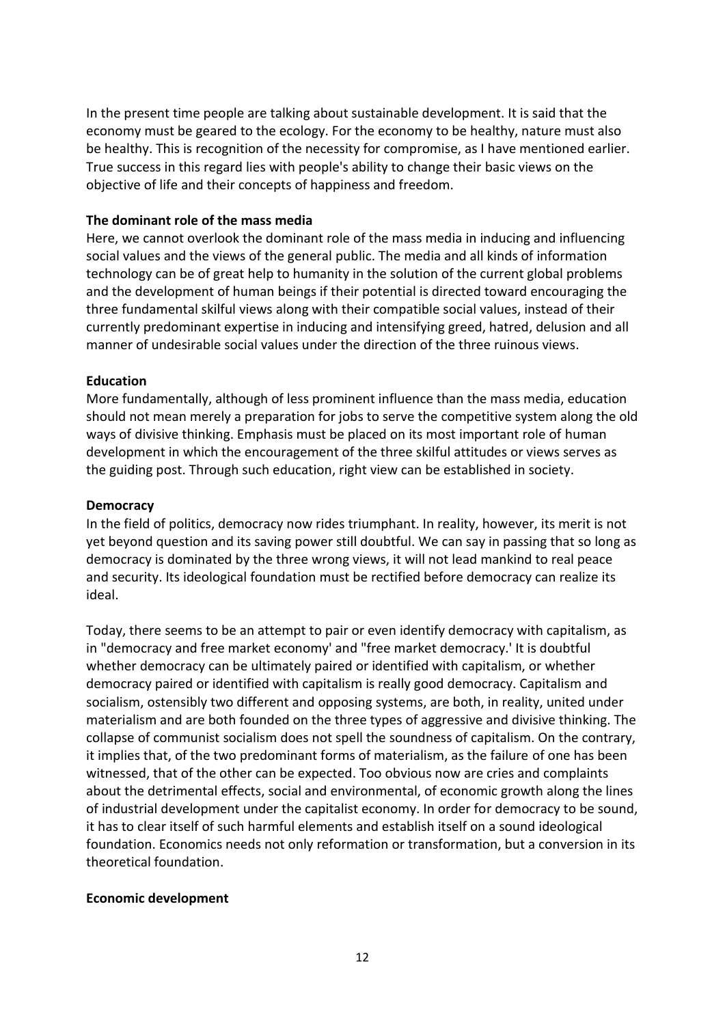In the present time people are talking about sustainable development. It is said that the economy must be geared to the ecology. For the economy to be healthy, nature must also be healthy. This is recognition of the necessity for compromise, as I have mentioned earlier. True success in this regard lies with people's ability to change their basic views on the objective of life and their concepts of happiness and freedom.

# **The dominant role of the mass media**

Here, we cannot overlook the dominant role of the mass media in inducing and influencing social values and the views of the general public. The media and all kinds of information technology can be of great help to humanity in the solution of the current global problems and the development of human beings if their potential is directed toward encouraging the three fundamental skilful views along with their compatible social values, instead of their currently predominant expertise in inducing and intensifying greed, hatred, delusion and all manner of undesirable social values under the direction of the three ruinous views.

# **Education**

More fundamentally, although of less prominent influence than the mass media, education should not mean merely a preparation for jobs to serve the competitive system along the old ways of divisive thinking. Emphasis must be placed on its most important role of human development in which the encouragement of the three skilful attitudes or views serves as the guiding post. Through such education, right view can be established in society.

# **Democracy**

In the field of politics, democracy now rides triumphant. In reality, however, its merit is not yet beyond question and its saving power still doubtful. We can say in passing that so long as democracy is dominated by the three wrong views, it will not lead mankind to real peace and security. Its ideological foundation must be rectified before democracy can realize its ideal.

Today, there seems to be an attempt to pair or even identify democracy with capitalism, as in "democracy and free market economy' and "free market democracy.' It is doubtful whether democracy can be ultimately paired or identified with capitalism, or whether democracy paired or identified with capitalism is really good democracy. Capitalism and socialism, ostensibly two different and opposing systems, are both, in reality, united under materialism and are both founded on the three types of aggressive and divisive thinking. The collapse of communist socialism does not spell the soundness of capitalism. On the contrary, it implies that, of the two predominant forms of materialism, as the failure of one has been witnessed, that of the other can be expected. Too obvious now are cries and complaints about the detrimental effects, social and environmental, of economic growth along the lines of industrial development under the capitalist economy. In order for democracy to be sound, it has to clear itself of such harmful elements and establish itself on a sound ideological foundation. Economics needs not only reformation or transformation, but a conversion in its theoretical foundation.

## **Economic development**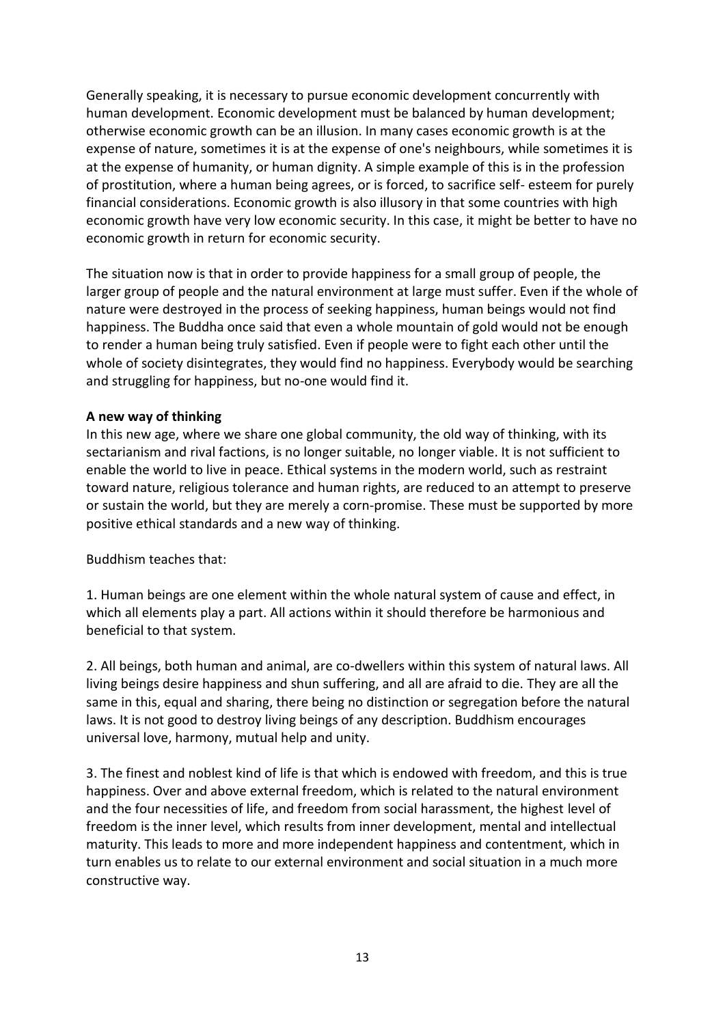Generally speaking, it is necessary to pursue economic development concurrently with human development. Economic development must be balanced by human development; otherwise economic growth can be an illusion. In many cases economic growth is at the expense of nature, sometimes it is at the expense of one's neighbours, while sometimes it is at the expense of humanity, or human dignity. A simple example of this is in the profession of prostitution, where a human being agrees, or is forced, to sacrifice self- esteem for purely financial considerations. Economic growth is also illusory in that some countries with high economic growth have very low economic security. In this case, it might be better to have no economic growth in return for economic security.

The situation now is that in order to provide happiness for a small group of people, the larger group of people and the natural environment at large must suffer. Even if the whole of nature were destroyed in the process of seeking happiness, human beings would not find happiness. The Buddha once said that even a whole mountain of gold would not be enough to render a human being truly satisfied. Even if people were to fight each other until the whole of society disintegrates, they would find no happiness. Everybody would be searching and struggling for happiness, but no-one would find it.

# **A new way of thinking**

In this new age, where we share one global community, the old way of thinking, with its sectarianism and rival factions, is no longer suitable, no longer viable. It is not sufficient to enable the world to live in peace. Ethical systems in the modern world, such as restraint toward nature, religious tolerance and human rights, are reduced to an attempt to preserve or sustain the world, but they are merely a corn-promise. These must be supported by more positive ethical standards and a new way of thinking.

Buddhism teaches that:

1. Human beings are one element within the whole natural system of cause and effect, in which all elements play a part. All actions within it should therefore be harmonious and beneficial to that system.

2. All beings, both human and animal, are co-dwellers within this system of natural laws. All living beings desire happiness and shun suffering, and all are afraid to die. They are all the same in this, equal and sharing, there being no distinction or segregation before the natural laws. It is not good to destroy living beings of any description. Buddhism encourages universal love, harmony, mutual help and unity.

3. The finest and noblest kind of life is that which is endowed with freedom, and this is true happiness. Over and above external freedom, which is related to the natural environment and the four necessities of life, and freedom from social harassment, the highest level of freedom is the inner level, which results from inner development, mental and intellectual maturity. This leads to more and more independent happiness and contentment, which in turn enables us to relate to our external environment and social situation in a much more constructive way.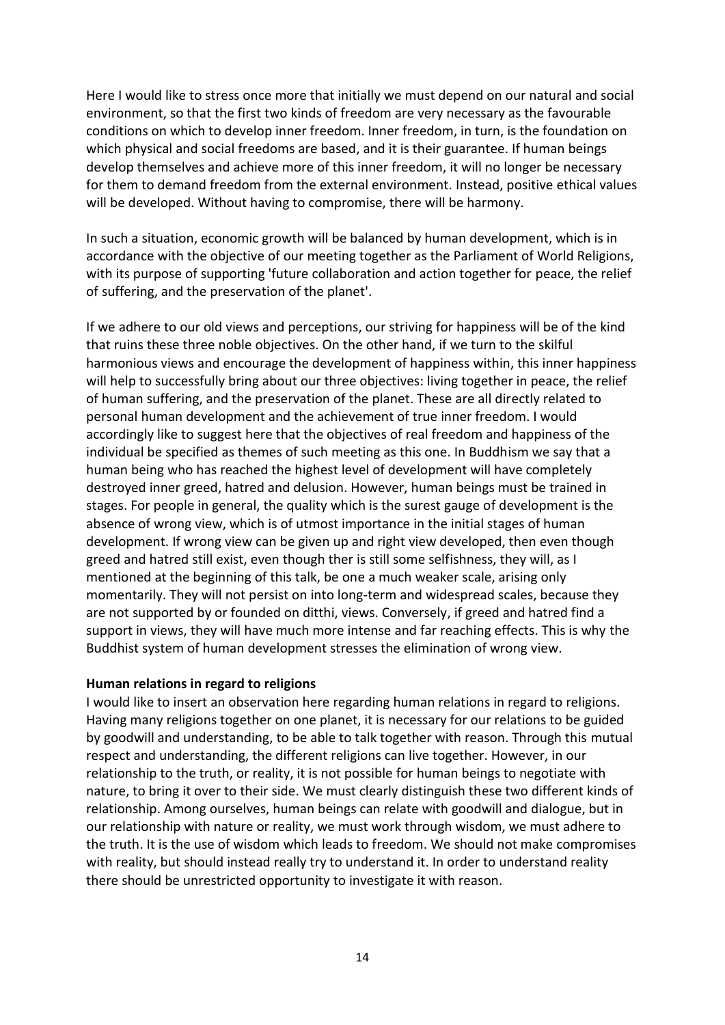Here I would like to stress once more that initially we must depend on our natural and social environment, so that the first two kinds of freedom are very necessary as the favourable conditions on which to develop inner freedom. Inner freedom, in turn, is the foundation on which physical and social freedoms are based, and it is their guarantee. If human beings develop themselves and achieve more of this inner freedom, it will no longer be necessary for them to demand freedom from the external environment. Instead, positive ethical values will be developed. Without having to compromise, there will be harmony.

In such a situation, economic growth will be balanced by human development, which is in accordance with the objective of our meeting together as the Parliament of World Religions, with its purpose of supporting 'future collaboration and action together for peace, the relief of suffering, and the preservation of the planet'.

If we adhere to our old views and perceptions, our striving for happiness will be of the kind that ruins these three noble objectives. On the other hand, if we turn to the skilful harmonious views and encourage the development of happiness within, this inner happiness will help to successfully bring about our three objectives: living together in peace, the relief of human suffering, and the preservation of the planet. These are all directly related to personal human development and the achievement of true inner freedom. I would accordingly like to suggest here that the objectives of real freedom and happiness of the individual be specified as themes of such meeting as this one. In Buddhism we say that a human being who has reached the highest level of development will have completely destroyed inner greed, hatred and delusion. However, human beings must be trained in stages. For people in general, the quality which is the surest gauge of development is the absence of wrong view, which is of utmost importance in the initial stages of human development. If wrong view can be given up and right view developed, then even though greed and hatred still exist, even though ther is still some selfishness, they will, as I mentioned at the beginning of this talk, be one a much weaker scale, arising only momentarily. They will not persist on into long-term and widespread scales, because they are not supported by or founded on ditthi, views. Conversely, if greed and hatred find a support in views, they will have much more intense and far reaching effects. This is why the Buddhist system of human development stresses the elimination of wrong view.

#### **Human relations in regard to religions**

I would like to insert an observation here regarding human relations in regard to religions. Having many religions together on one planet, it is necessary for our relations to be guided by goodwill and understanding, to be able to talk together with reason. Through this mutual respect and understanding, the different religions can live together. However, in our relationship to the truth, or reality, it is not possible for human beings to negotiate with nature, to bring it over to their side. We must clearly distinguish these two different kinds of relationship. Among ourselves, human beings can relate with goodwill and dialogue, but in our relationship with nature or reality, we must work through wisdom, we must adhere to the truth. It is the use of wisdom which leads to freedom. We should not make compromises with reality, but should instead really try to understand it. In order to understand reality there should be unrestricted opportunity to investigate it with reason.